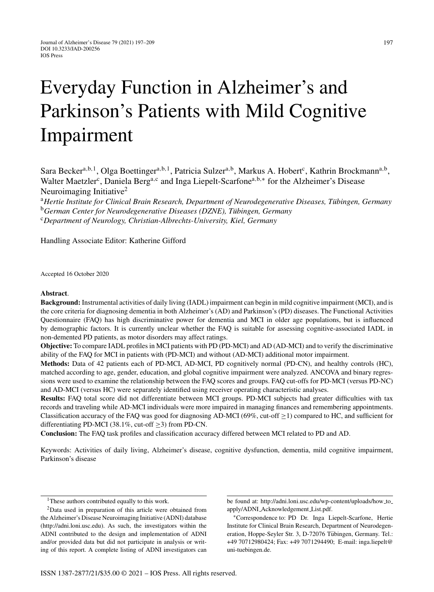# Everyday Function in Alzheimer's and Parkinson's Patients with Mild Cognitive Impairment

Sara Becker<sup>a,b,1</sup>, Olga Boettinger<sup>a,b,1</sup>, Patricia Sulzer<sup>a,b</sup>, Markus A. Hobert<sup>c</sup>, Kathrin Brockmann<sup>a,b</sup>, Walter Maetzler<sup>c</sup>, Daniela Berg<sup>a,c</sup> and Inga Liepelt-Scarfone<sup>a,b,\*</sup> for the Alzheimer's Disease Neuroimaging Initiative<sup>2</sup>

<sup>a</sup>Hertie Institute for Clinical Brain Research, Department of Neurodegenerative Diseases, Tübingen, Germany <sup>b</sup>German Center for Neurodegenerative Diseases (DZNE), Tübingen, Germany <sup>c</sup>*Department of Neurology, Christian-Albrechts-University, Kiel, Germany*

Handling Associate Editor: Katherine Gifford

Accepted 16 October 2020

#### **Abstract**.

**Background:** Instrumental activities of daily living (IADL) impairment can begin in mild cognitive impairment (MCI), and is the core criteria for diagnosing dementia in both Alzheimer's (AD) and Parkinson's (PD) diseases. The Functional Activities Questionnaire (FAQ) has high discriminative power for dementia and MCI in older age populations, but is influenced by demographic factors. It is currently unclear whether the FAQ is suitable for assessing cognitive-associated IADL in non-demented PD patients, as motor disorders may affect ratings.

**Objective:** To compare IADL profiles in MCI patients with PD (PD-MCI) and AD (AD-MCI) and to verify the discriminative ability of the FAQ for MCI in patients with (PD-MCI) and without (AD-MCI) additional motor impairment.

**Methods:** Data of 42 patients each of PD-MCI, AD-MCI, PD cognitively normal (PD-CN), and healthy controls (HC), matched according to age, gender, education, and global cognitive impairment were analyzed. ANCOVA and binary regressions were used to examine the relationship between the FAQ scores and groups. FAQ cut-offs for PD-MCI (versus PD-NC) and AD-MCI (versus HC) were separately identified using receiver operating characteristic analyses.

**Results:** FAQ total score did not differentiate between MCI groups. PD-MCI subjects had greater difficulties with tax records and traveling while AD-MCI individuals were more impaired in managing finances and remembering appointments. Classification accuracy of the FAO was good for diagnosing AD-MCI (69%, cut-off >1) compared to HC, and sufficient for differentiating PD-MCI (38.1%, cut-off ≥3) from PD-CN.

**Conclusion:** The FAQ task profiles and classification accuracy differed between MCI related to PD and AD.

Keywords: Activities of daily living, Alzheimer's disease, cognitive dysfunction, dementia, mild cognitive impairment, Parkinson's disease

<sup>&</sup>lt;sup>1</sup>These authors contributed equally to this work.

<sup>2</sup>Data used in preparation of this article were obtained from the Alzheimer's Disease Neuroimaging Initiative (ADNI) database ([http://adni.loni.usc.edu\)](http://adni.loni.usc.edu). As such, the investigators within the ADNI contributed to the design and implementation of ADNI and/or provided data but did not participate in analysis or writing of this report. A complete listing of ADNI investigators can

be found at: [http://adni.loni.usc.edu/wp-content/uploads/how](http://adni.loni.usc.edu/wp-content/uploads/how_to_apply/ADNI_Acknowledgement_List.pdf)\_to\_ apply/ADNI Acknowledgement List.pdf.

<sup>∗</sup>Correspondence to: PD Dr. Inga Liepelt-Scarfone, Hertie Institute for Clinical Brain Research, Department of Neurodegeneration, Hoppe-Seyler Str. 3, D-72076 Tübingen, Germany. Tel.: +49 70712980424; Fax: +49 7071294490; E-mail: [inga.liepelt@](mailto:inga.liepelt@{penalty -@M }uni-tuebingen.de) uni-tuebingen.de.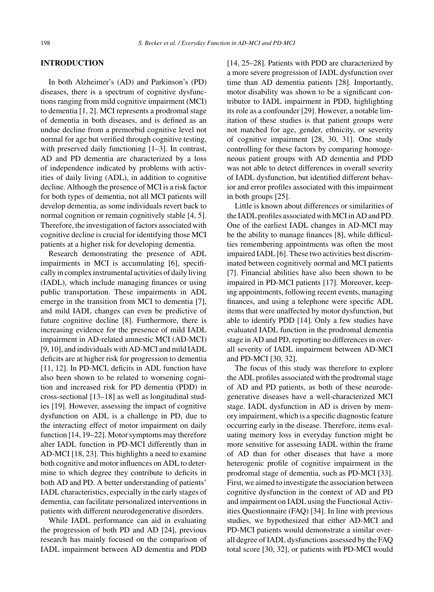#### **INTRODUCTION**

In both Alzheimer's (AD) and Parkinson's (PD) diseases, there is a spectrum of cognitive dysfunctions ranging from mild cognitive impairment (MCI) to dementia [1, 2]. MCI represents a prodromal stage of dementia in both diseases, and is defined as an undue decline from a premorbid cognitive level not normal for age but verified through cognitive testing, with preserved daily functioning [1–3]. In contrast, AD and PD dementia are characterized by a loss of independence indicated by problems with activities of daily living (ADL), in addition to cognitive decline. Although the presence of MCI is a risk factor for both types of dementia, not all MCI patients will develop dementia, as some individuals revert back to normal cognition or remain cognitively stable [4, 5]. Therefore, the investigation of factors associated with cognitive decline is crucial for identifying those MCI patients at a higher risk for developing dementia.

Research demonstrating the presence of ADL impairments in MCI is accumulating [6], specifically in complex instrumental activities of daily living (IADL), which include managing finances or using public transportation. These impairments in ADL emerge in the transition from MCI to dementia [7], and mild IADL changes can even be predictive of future cognitive decline [8]. Furthermore, there is increasing evidence for the presence of mild IADL impairment in AD-related amnestic MCI (AD-MCI) [9, 10], and individuals with AD-MCI and mild IADL deficits are at higher risk for progression to dementia [11, 12]. In PD-MCI, deficits in ADL function have also been shown to be related to worsening cognition and increased risk for PD dementia (PDD) in cross-sectional [13–18] as well as longitudinal studies [19]. However, assessing the impact of cognitive dysfunction on ADL is a challenge in PD, due to the interacting effect of motor impairment on daily function [14, 19–22]. Motor symptoms may therefore alter IADL function in PD-MCI differently than in AD-MCI [18, 23]. This highlights a need to examine both cognitive and motor influences on ADL to determine to which degree they contribute to deficits in both AD and PD. A better understanding of patients' IADL characteristics, especially in the early stages of dementia, can facilitate personalized interventions in patients with different neurodegenerative disorders.

While IADL performance can aid in evaluating the progression of both PD and AD [24], previous research has mainly focused on the comparison of IADL impairment between AD dementia and PDD [14, 25–28]. Patients with PDD are characterized by a more severe progression of IADL dysfunction over time than AD dementia patients [28]. Importantly, motor disability was shown to be a significant contributor to IADL impairment in PDD, highlighting its role as a confounder [29]. However, a notable limitation of these studies is that patient groups were not matched for age, gender, ethnicity, or severity of cognitive impairment [28, 30, 31]. One study controlling for these factors by comparing homogeneous patient groups with AD dementia and PDD was not able to detect differences in overall severity of IADL dysfunction, but identified different behavior and error profiles associated with this impairment in both groups [25].

Little is known about differences or similarities of the IADL profiles associated with MCI in AD and PD. One of the earliest IADL changes in AD-MCI may be the ability to manage finances [8], while difficulties remembering appointments was often the most impaired IADL [6]. These two activities best discriminated between cognitively normal and MCI patients [7]. Financial abilities have also been shown to be impaired in PD-MCI patients [17]. Moreover, keeping appointments, following recent events, managing finances, and using a telephone were specific ADL items that were unaffected by motor dysfunction, but able to identify PDD [14]. Only a few studies have evaluated IADL function in the prodromal dementia stage in AD and PD, reporting no differences in overall severity of IADL impairment between AD-MCI and PD-MCI [30, 32].

The focus of this study was therefore to explore the ADL profiles associated with the prodromal stage of AD and PD patients, as both of these neurodegenerative diseases have a well-characterized MCI stage. IADL dysfunction in AD is driven by memory impairment, which is a specific diagnostic feature occurring early in the disease. Therefore, items evaluating memory loss in everyday function might be more sensitive for assessing IADL within the frame of AD than for other diseases that have a more heterogenic profile of cognitive impairment in the prodromal stage of dementia, such as PD-MCI [33]. First, we aimed to investigate the association between cognitive dysfunction in the context of AD and PD and impairment on IADL using the Functional Activities Questionnaire (FAQ) [34]. In line with previous studies, we hypothesized that either AD-MCI and PD-MCI patients would demonstrate a similar overall degree of IADL dysfunctions assessed by the FAQ total score [30, 32], or patients with PD-MCI would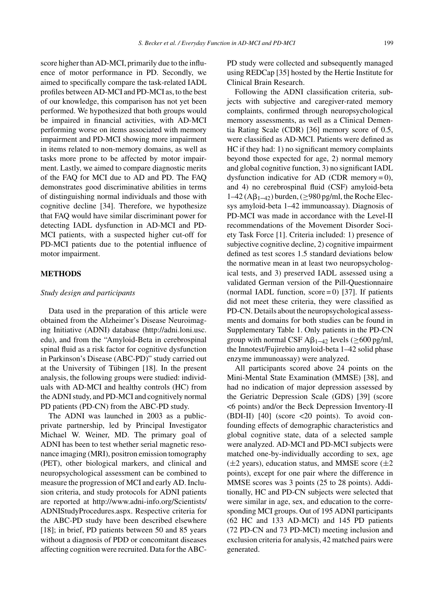score higher than AD-MCI, primarily due to the influence of motor performance in PD. Secondly, we aimed to specifically compare the task-related IADL profiles between AD-MCI and PD-MCI as, to the best of our knowledge, this comparison has not yet been performed. We hypothesized that both groups would be impaired in financial activities, with AD-MCI performing worse on items associated with memory impairment and PD-MCI showing more impairment in items related to non-memory domains, as well as tasks more prone to be affected by motor impairment. Lastly, we aimed to compare diagnostic merits of the FAQ for MCI due to AD and PD. The FAQ demonstrates good discriminative abilities in terms of distinguishing normal individuals and those with cognitive decline [34]. Therefore, we hypothesize that FAQ would have similar discriminant power for detecting IADL dysfunction in AD-MCI and PD-MCI patients, with a suspected higher cut-off for PD-MCI patients due to the potential influence of motor impairment.

# **METHODS**

#### *Study design and participants*

Data used in the preparation of this article were obtained from the Alzheimer's Disease Neuroimaging Initiative (ADNI) database [\(http://adni.loni.usc.](http://adni.loni.usc.edu) edu), and from the "Amyloid-Beta in cerebrospinal spinal fluid as a risk factor for cognitive dysfunction in Parkinson's Disease (ABC-PD)" study carried out at the University of Tübingen  $[18]$ . In the present analysis, the following groups were studied: individuals with AD-MCI and healthy controls (HC) from the ADNI study, and PD-MCI and cognitively normal PD patients (PD-CN) from the ABC-PD study.

The ADNI was launched in 2003 as a publicprivate partnership, led by Principal Investigator Michael W. Weiner, MD. The primary goal of ADNI has been to test whether serial magnetic resonance imaging (MRI), positron emission tomography (PET), other biological markers, and clinical and neuropsychological assessment can be combined to measure the progression of MCI and early AD. Inclusion criteria, and study protocols for ADNI patients are reported at [http://www.adni-info.org/Scientists/](http://www.adni-info.org/Scientists/ADNIStudyProcedures.aspx) ADNIStudyProcedures.aspx. Respective criteria for the ABC-PD study have been described elsewhere [18]; in brief, PD patients between 50 and 85 years without a diagnosis of PDD or concomitant diseases affecting cognition were recruited. Data for the ABC-

PD study were collected and subsequently managed using REDCap [35] hosted by the Hertie Institute for Clinical Brain Research.

Following the ADNI classification criteria, subjects with subjective and caregiver-rated memory complaints, confirmed through neuropsychological memory assessments, as well as a Clinical Dementia Rating Scale (CDR) [36] memory score of 0.5, were classified as AD-MCI. Patients were defined as HC if they had: 1) no significant memory complaints beyond those expected for age, 2) normal memory and global cognitive function, 3) no significant IADL dysfunction indicative for AD (CDR memory =  $0$ ), and 4) no cerebrospinal fluid (CSF) amyloid-beta  $1-42$  (A $\beta_{1-42}$ ) burden, ( $\geq$ 980 pg/ml, the Roche Elecsys amyloid-beta 1–42 immunoassay). Diagnosis of PD-MCI was made in accordance with the Level-II recommendations of the Movement Disorder Society Task Force [1]. Criteria included: 1) presence of subjective cognitive decline, 2) cognitive impairment defined as test scores 1.5 standard deviations below the normative mean in at least two neuropsychological tests, and 3) preserved IADL assessed using a validated German version of the Pill-Questionnaire (normal IADL function,  $score = 0$ ) [37]. If patients did not meet these criteria, they were classified as PD-CN. Details about the neuropsychological assessments and domains for both studies can be found in Supplementary Table 1. Only patients in the PD-CN group with normal CSF  $\mathbf{A}\beta_{1-42}$  levels ( $\geq 600 \text{ pg/ml}$ , the Innotest/Fujirebio amyloid-beta 1–42 solid phase enzyme immunoassay) were analyzed.

All participants scored above 24 points on the Mini-Mental State Examination (MMSE) [38], and had no indication of major depression assessed by the Geriatric Depression Scale (GDS) [39] (score <6 points) and/or the Beck Depression Inventory-II (BDI-II) [40] (score <20 points). To avoid confounding effects of demographic characteristics and global cognitive state, data of a selected sample were analyzed. AD-MCI and PD-MCI subjects were matched one-by-individually according to sex, age  $(\pm 2 \text{ years})$ , education status, and MMSE score  $(\pm 2 \text{ years})$ points), except for one pair where the difference in MMSE scores was 3 points (25 to 28 points). Additionally, HC and PD-CN subjects were selected that were similar in age, sex, and education to the corresponding MCI groups. Out of 195 ADNI participants (62 HC and 133 AD-MCI) and 145 PD patients (72 PD-CN and 73 PD-MCI) meeting inclusion and exclusion criteria for analysis, 42 matched pairs were generated.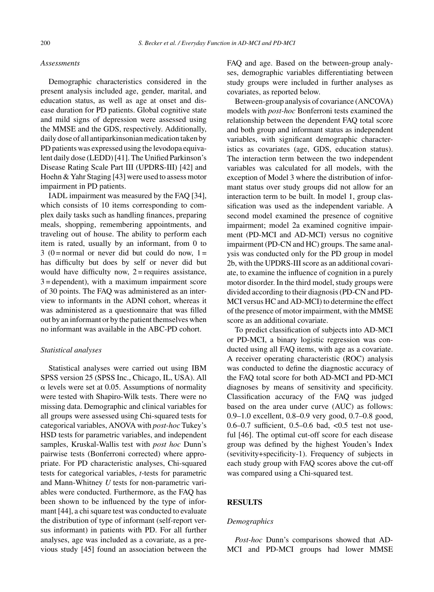#### *Assessments*

Demographic characteristics considered in the present analysis included age, gender, marital, and education status, as well as age at onset and disease duration for PD patients. Global cognitive state and mild signs of depression were assessed using the MMSE and the GDS, respectively. Additionally, daily dose of all antiparkinsonian medication taken by PD patients was expressed using the levodopa equivalent daily dose (LEDD) [41]. The Unified Parkinson's Disease Rating Scale Part III (UPDRS-III) [42] and Hoehn & Yahr Staging [43] were used to assess motor impairment in PD patients.

IADL impairment was measured by the FAQ [34], which consists of 10 items corresponding to complex daily tasks such as handling finances, preparing meals, shopping, remembering appointments, and traveling out of house. The ability to perform each item is rated, usually by an informant, from 0 to  $3(0)$  = normal or never did but could do now, 1 = has difficulty but does by self or never did but would have difficulty now,  $2$  = requires assistance,  $3 =$  dependent), with a maximum impairment score of 30 points. The FAQ was administered as an interview to informants in the ADNI cohort, whereas it was administered as a questionnaire that was filled out by an informant or by the patient themselves when no informant was available in the ABC-PD cohort.

#### *Statistical analyses*

Statistical analyses were carried out using IBM SPSS version 25 (SPSS Inc., Chicago, IL, USA). All  $\alpha$  levels were set at 0.05. Assumptions of normality were tested with Shapiro-Wilk tests. There were no missing data. Demographic and clinical variables for all groups were assessed using Chi-squared tests for categorical variables, ANOVA with *post-hoc* Tukey's HSD tests for parametric variables, and independent samples, Kruskal-Wallis test with *post hoc* Dunn's pairwise tests (Bonferroni corrected) where appropriate. For PD characteristic analyses, Chi-squared tests for categorical variables, *t*-tests for parametric and Mann-Whitney *U* tests for non-parametric variables were conducted. Furthermore, as the FAQ has been shown to be influenced by the type of informant [44], a chi square test was conducted to evaluate the distribution of type of informant (self-report versus informant) in patients with PD. For all further analyses, age was included as a covariate, as a previous study [45] found an association between the

FAQ and age. Based on the between-group analyses, demographic variables differentiating between study groups were included in further analyses as covariates, as reported below.

Between-group analysis of covariance (ANCOVA) models with *post-hoc* Bonferroni tests examined the relationship between the dependent FAQ total score and both group and informant status as independent variables, with significant demographic characteristics as covariates (age, GDS, education status). The interaction term between the two independent variables was calculated for all models, with the exception of Model 3 where the distribution of informant status over study groups did not allow for an interaction term to be built. In model 1, group classification was used as the independent variable. A second model examined the presence of cognitive impairment; model 2a examined cognitive impairment (PD-MCI and AD-MCI) versus no cognitive impairment (PD-CN and HC) groups. The same analysis was conducted only for the PD group in model 2b, with the UPDRS-III score as an additional covariate, to examine the influence of cognition in a purely motor disorder. In the third model, study groups were divided according to their diagnosis (PD-CN and PD-MCI versus HC and AD-MCI) to determine the effect of the presence of motor impairment, with the MMSE score as an additional covariate.

To predict classification of subjects into AD-MCI or PD-MCI, a binary logistic regression was conducted using all FAQ items, with age as a covariate. A receiver operating characteristic (ROC) analysis was conducted to define the diagnostic accuracy of the FAQ total score for both AD-MCI and PD-MCI diagnoses by means of sensitivity and specificity. Classification accuracy of the FAQ was judged based on the area under curve (AUC) as follows: 0.9–1.0 excellent, 0.8–0.9 very good, 0.7–0.8 good, 0.6–0.7 sufficient, 0.5–0.6 bad, <0.5 test not useful [46]. The optimal cut-off score for each disease group was defined by the highest Youden's Index (sevitivity+specificity-1). Frequency of subjects in each study group with FAQ scores above the cut-off was compared using a Chi-squared test.

### **RESULTS**

#### *Demographics*

*Post-hoc* Dunn's comparisons showed that AD-MCI and PD-MCI groups had lower MMSE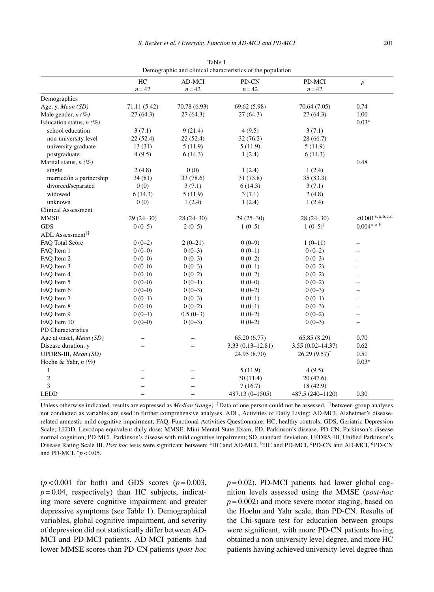|                              | Demographic and emilical enaracteristics of the population |                         |                      |                         |                                    |
|------------------------------|------------------------------------------------------------|-------------------------|----------------------|-------------------------|------------------------------------|
|                              | HС<br>$n = 42$                                             | <b>AD-MCI</b><br>$n=42$ | PD-CN<br>$n = 42$    | PD-MCI<br>$n=42$        | $\boldsymbol{p}$                   |
| Demographics                 |                                                            |                         |                      |                         |                                    |
| Age, y, Mean (SD)            | 71.11 (5.42)                                               | 70.78 (6.93)            | 69.62 (5.98)         | 70.64 (7.05)            | 0.74                               |
| Male gender, $n(\%)$         | 27(64.3)                                                   | 27(64.3)                | 27(64.3)             | 27(64.3)                | 1.00                               |
| Education status, $n(\%)$    |                                                            |                         |                      |                         | $0.03*$                            |
| school education             | 3(7.1)                                                     | 9(21.4)                 | 4(9.5)               | 3(7.1)                  |                                    |
| non-university level         | 22(52.4)                                                   | 22(52.4)                | 32(76.2)             | 28 (66.7)               |                                    |
| university graduate          | 13(31)                                                     | 5(11.9)                 | 5(11.9)              | 5(11.9)                 |                                    |
| postgraduate                 | 4(9.5)                                                     | 6(14.3)                 | 1(2.4)               | 6(14.3)                 |                                    |
| Marital status, $n$ (%)      |                                                            |                         |                      |                         | 0.48                               |
| single                       | 2(4.8)                                                     | 0(0)                    | 1(2.4)               | 1(2.4)                  |                                    |
| married/in a partnership     | 34 (81)                                                    | 33 (78.6)               | 31 (73.8)            | 35(83.3)                |                                    |
| divorced/separated           | 0(0)                                                       | 3(7.1)                  | 6(14.3)              | 3(7.1)                  |                                    |
| widowed                      | 6(14.3)                                                    | 5(11.9)                 | 3(7.1)               | 2(4.8)                  |                                    |
| unknown                      | 0(0)                                                       | 1(2.4)                  | 1(2.4)               | 1(2.4)                  |                                    |
|                              |                                                            |                         |                      |                         |                                    |
| <b>Clinical Assessment</b>   |                                                            |                         |                      |                         | $<0.001$ <sup>*</sup> , a, b, c, d |
| <b>MMSE</b>                  | $29(24-30)$                                                | $28(24-30)$             | $29(25-30)$          | $28(24-30)$             | $0.004^{*,a,b}$                    |
| <b>GDS</b>                   | $0(0-5)$                                                   | $2(0-5)$                | $1(0-5)$             | 1 $(0-5)^{\dagger}$     |                                    |
| ADL Assessment <sup>††</sup> |                                                            |                         |                      |                         |                                    |
| FAQ Total Score              | $0(0-2)$                                                   | $2(0-21)$               | $0(0-9)$             | $1(0-11)$               | -                                  |
| FAQ Item 1                   | $0(0-0)$                                                   | $0(0-3)$                | $0(0-1)$             | $0(0-2)$                |                                    |
| FAQ Item 2                   | $0(0-0)$                                                   | $0(0-3)$                | $0(0-2)$             | $0(0-3)$                | $\overline{a}$                     |
| FAQ Item 3                   | $0(0-0)$                                                   | $0(0-3)$                | $0(0-1)$             | $0(0-2)$                |                                    |
| FAQ Item 4                   | $0(0-0)$                                                   | $0(0-2)$                | $0(0-2)$             | $0(0-2)$                |                                    |
| FAQ Item 5                   | $0(0-0)$                                                   | $0(0-1)$                | $0(0-0)$             | $0(0-2)$                | $\overline{\phantom{0}}$           |
| FAQ Item 6                   | $0(0-0)$                                                   | $0(0-3)$                | $0(0-2)$             | $0(0-3)$                | $\overline{\phantom{0}}$           |
| FAQ Item 7                   | $0(0-1)$                                                   | $0(0-3)$                | $0(0-1)$             | $0(0-1)$                | $\overline{\phantom{0}}$           |
| FAQ Item 8                   | $0(0-0)$                                                   | $0(0-2)$                | $0(0-1)$             | $0(0-3)$                | -                                  |
| FAQ Item 9                   | $0(0-1)$                                                   | $0.5(0-3)$              | $0(0-2)$             | $0(0-2)$                | $\overline{\phantom{0}}$           |
| FAQ Item 10                  | $0(0-0)$                                                   | $0(0-3)$                | $0(0-2)$             | $0(0-3)$                | $\overline{\phantom{0}}$           |
| PD Characteristics           |                                                            |                         |                      |                         |                                    |
| Age at onset, Mean (SD)      |                                                            |                         | 65.20(6.77)          | 65.85 (8.29)            | 0.70                               |
| Disease duration, y          |                                                            |                         | $3.33(0.13 - 12.81)$ | $3.55(0.02 - 14.37)$    | 0.62                               |
| UPDRS-III, Mean (SD)         |                                                            |                         | 24.95 (8.70)         | $26.29(9.57)^{\dagger}$ | 0.51                               |
| Hoehn & Yahr, $n (\%)$       |                                                            |                         |                      |                         | $0.03*$                            |
| 1                            |                                                            |                         | 5(11.9)              | 4(9.5)                  |                                    |
| $\sqrt{2}$                   |                                                            |                         | 30(71.4)             | 20(47.6)                |                                    |
| 3                            |                                                            |                         | 7(16.7)              | 18 (42.9)               |                                    |
| <b>LEDD</b>                  | $\overline{\phantom{0}}$                                   | $\qquad \qquad -$       | 487.13 (0-1505)      | 487.5 (240-1120)        | 0.30                               |

Table 1 Demographic and clinical characteristics of the population

Unless otherwise indicated, results are expressed as *Median (range),* †Data of one person could not be assessed, ††between-group analyses not conducted as variables are used in further comprehensive analyses. ADL, Activities of Daily Living; AD-MCI, Alzheimer's diseaserelated amnestic mild cognitive impairment; FAQ, Functional Activities Questionnaire; HC, healthy controls; GDS, Geriatric Depression Scale; LEDD, Levodopa equivalent daily dose; MMSE, Mini-Mental State Exam; PD, Parkinson's disease, PD-CN, Parkinson's disease normal cognition; PD-MCI, Parkinson's disease with mild cognitive impairment; SD, standard deviation; UPDRS-III, Unified Parkinson's Disease Rating Scale III. *Post hoc* tests were significant between: <sup>a</sup>HC and AD-MCI, <sup>b</sup>HC and PD-MCI, <sup>c</sup>PD-CN and AD-MCI, <sup>d</sup>PD-CN and PD-MCI. ∗*p* < 0.05.

 $(p<0.001$  for both) and GDS scores  $(p=0.003,$  $p = 0.04$ , respectively) than HC subjects, indicating more severe cognitive impairment and greater depressive symptoms (see Table 1). Demographical variables, global cognitive impairment, and severity of depression did not statistically differ between AD-MCI and PD-MCI patients. AD-MCI patients had lower MMSE scores than PD-CN patients (*post-hoc*  $p = 0.02$ ). PD-MCI patients had lower global cognition levels assessed using the MMSE (*post-hoc*  $p = 0.002$ ) and more severe motor staging, based on the Hoehn and Yahr scale, than PD-CN. Results of the Chi-square test for education between groups were significant, with more PD-CN patients having obtained a non-university level degree, and more HC patients having achieved university-level degree than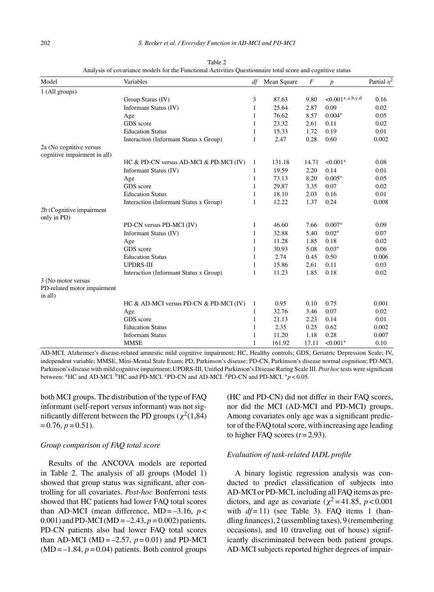| Model                                                   | Variables                              | df | Mean Square | $\overline{F}$ | $\boldsymbol{p}$                    | Partial $\eta^2$ |
|---------------------------------------------------------|----------------------------------------|----|-------------|----------------|-------------------------------------|------------------|
| 1 (All groups)                                          |                                        |    |             |                |                                     |                  |
|                                                         | Group Status (IV)                      | 3  | 87.63       | 9.80           | $< 0.001$ <sup>*</sup> , a, b, c, d | 0.16             |
|                                                         | <b>Informant Status (IV)</b>           | 1  | 25.64       | 2.87           | 0.09                                | 0.02             |
|                                                         | Age                                    | 1  | 76.62       | 8.57           | $0.004*$                            | 0.05             |
|                                                         | GDS score                              | 1  | 23.32       | 2.61           | 0.11                                | 0.02             |
|                                                         | <b>Education Status</b>                | 1  | 15.33       | 1.72           | 0.19                                | 0.01             |
|                                                         | Interaction (Informant Status x Group) | 1  | 2.47        | 0.28           | 0.60                                | 0.002            |
| 2a (No cognitive versus<br>cognitive impairment in all) |                                        |    |             |                |                                     |                  |
|                                                         | HC & PD-CN versus AD-MCI & PD-MCI (IV) | 1  | 131.18      | 14.71          | $< 0.001*$                          | 0.08             |
|                                                         | Informant Status (IV)                  | 1  | 19.59       | 2.20           | 0.14                                | 0.01             |
|                                                         | Age                                    | 1  | 73.13       | 8.20           | $0.005*$                            | 0.05             |
|                                                         | GDS score                              | 1  | 29.87       | 3.35           | 0.07                                | 0.02             |
|                                                         | <b>Education Status</b>                | 1  | 18.10       | 2.03           | 0.16                                | 0.01             |
|                                                         | Interaction (Informant Status x Group) | 1  | 12.22       | 1.37           | 0.24                                | 0.008            |
| 2b (Cognitive impairment<br>only in PD)                 |                                        |    |             |                |                                     |                  |
|                                                         | PD-CN versus PD-MCI (IV)               | 1  | 46.60       | 7.66           | $0.007*$                            | 0.09             |
|                                                         | <b>Informant Status (IV)</b>           | 1  | 32.88       | 5.40           | $0.02*$                             | 0.07             |
|                                                         | Age                                    | 1  | 11.28       | 1.85           | 0.18                                | 0.02             |
|                                                         | GDS score                              | 1  | 30.93       | 5.08           | $0.03*$                             | 0.06             |
|                                                         | <b>Education Status</b>                | 1  | 2.74        | 0.45           | 0.50                                | 0.006            |
|                                                         | <b>UPDRS-III</b>                       | 1  | 15.86       | 2.61           | 0.11                                | 0.03             |
|                                                         | Interaction (Informant Status x Group) | 1  | 11.23       | 1.85           | 0.18                                | 0.02             |
| 3 (No motor versus                                      |                                        |    |             |                |                                     |                  |
| PD-related motor impairment                             |                                        |    |             |                |                                     |                  |
| in all)                                                 |                                        |    |             |                |                                     |                  |
|                                                         | HC & AD-MCI versus PD-CN & PD-MCI (IV) | 1  | 0.95        | 0.10           | 0.75                                | 0.001            |
|                                                         | Age                                    | 1  | 32.76       | 3.46           | 0.07                                | 0.02             |
|                                                         | GDS score                              | 1  | 21.13       | 2.23           | 0.14                                | 0.01             |
|                                                         | <b>Education Status</b>                | 1  | 2.35        | 0.25           | 0.62                                | 0.002            |
|                                                         | <b>Informant Status</b>                | 1  | 11.20       | 1.18           | 0.28                                | 0.007            |
|                                                         | <b>MMSE</b>                            | 1  | 161.92      | 17.11          | $< 0.001*$                          | 0.10             |

Table 2 Analysis of covariance models for the Functional Activities Questionnaire total score and cognitive status

AD-MCI, Alzheimer's disease-related amnestic mild cognitive impairment; HC, Healthy controls; GDS, Geriatric Depression Scale; IV, independent variable; MMSE, Mini-Mental State Exam; PD, Parkinson's disease; PD-CN, Parkinson's disease normal cognition; PD-MCI, Parkinson's disease with mild cognitive impairment; UPDRS-III, Unified Parkinson's Disease Raring Scale III. *Post hoc* tests were significant between: <sup>a</sup>HC and AD-MCI.  ${}^{b}$ HC and PD-MCI. <sup>c</sup>PD-CN and AD-MCI. <sup>d</sup>PD-CN and PD-MCI.  ${}^{*}p$  < 0.05.

both MCI groups. The distribution of the type of FAQ informant (self-report versus informant) was not significantly different between the PD groups ( $\chi^2(1,84)$ )  $= 0.76, p = 0.51$ .

#### *Group comparison of FAQ total score*

Results of the ANCOVA models are reported in Table 2. The analysis of all groups (Model 1) showed that group status was significant, after controlling for all covariates. *Post-hoc* Bonferroni tests showed that HC patients had lower FAQ total scores than AD-MCI (mean difference, MD =  $-3.16$ ,  $p <$ 0.001) and PD-MCI (MD =  $-2.43$ ,  $p = 0.002$ ) patients. PD-CN patients also had lower FAQ total scores than AD-MCI (MD =  $-2.57$ ,  $p = 0.01$ ) and PD-MCI  $(MD = -1.84, p = 0.04)$  patients. Both control groups (HC and PD-CN) did not differ in their FAQ scores, nor did the MCI (AD-MCI and PD-MCI) groups. Among covariates only age was a significant predictor of the FAQ total score, with increasing age leading to higher FAQ scores  $(t = 2.93)$ .

#### *Evaluation of task-related IADL profile*

A binary logistic regression analysis was conducted to predict classification of subjects into AD-MCI or PD-MCI, including all FAQ items as predictors, and age as covariate ( $\chi^2$  = 41.85, *p* < 0.001 with  $df = 11$ ) (see Table 3). FAQ items 1 (handling finances), 2 (assembling taxes), 9 (remembering occasions), and 10 (traveling out of house) significantly discriminated between both patient groups. AD-MCI subjects reported higher degrees of impair-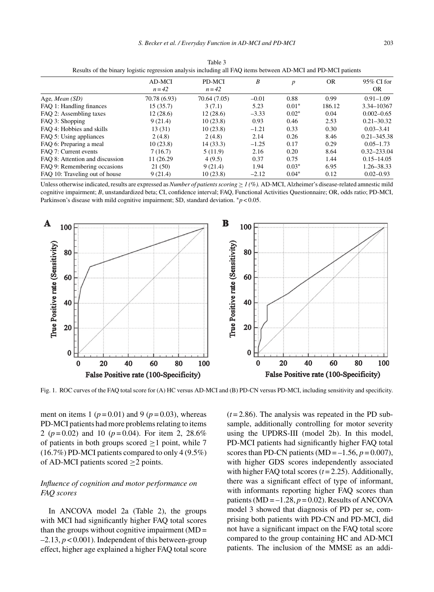|                                 | AD-MCI<br>$n = 42$ | PD-MCI<br>$n = 42$ | B       | $\boldsymbol{p}$ | <b>OR</b> | $95\%$ CI for<br>OR. |
|---------------------------------|--------------------|--------------------|---------|------------------|-----------|----------------------|
| Age, <i>Mean</i> $(SD)$         | 70.78 (6.93)       | 70.64 (7.05)       | $-0.01$ | 0.88             | 0.99      | $0.91 - 1.09$        |
| FAQ 1: Handling finances        | 15(35.7)           | 3(7.1)             | 5.23    | $0.01*$          | 186.12    | 3.34-10367           |
| FAQ 2: Assembling taxes         | 12(28.6)           | 12(28.6)           | $-3.33$ | $0.02*$          | 0.04      | $0.002 - 0.65$       |
| FAQ 3: Shopping                 | 9(21.4)            | 10(23.8)           | 0.93    | 0.46             | 2.53      | $0.21 - 30.32$       |
| FAO 4: Hobbies and skills       | 13(31)             | 10(23.8)           | $-1.21$ | 0.33             | 0.30      | $0.03 - 3.41$        |
| FAQ 5: Using appliances         | 2(4.8)             | 2(4.8)             | 2.14    | 0.26             | 8.46      | $0.21 - 345.38$      |
| FAQ 6: Preparing a meal         | 10(23.8)           | 14(33.3)           | $-1.25$ | 0.17             | 0.29      | $0.05 - 1.73$        |
| FAO 7: Current events           | 7(16.7)            | 5(11.9)            | 2.16    | 0.20             | 8.64      | $0.32 - 233.04$      |
| FAO 8: Attention and discussion | 11 (26.29)         | 4(9.5)             | 0.37    | 0.75             | 1.44      | $0.15 - 14.05$       |
| FAQ 9: Remembering occasions    | 21 (50)            | 9(21.4)            | 1.94    | $0.03*$          | 6.95      | $1.26 - 38.33$       |
| FAQ 10: Traveling out of house  | 9(21.4)            | 10(23.8)           | $-2.12$ | $0.04*$          | 0.12      | $0.02 - 0.93$        |
|                                 |                    |                    |         |                  |           |                      |

Table 3 Results of the binary logistic regression analysis including all FAQ items between AD-MCI and PD-MCI patients

Unless otherwise indicated, results are expressed as *Number of patients scoring* ≥ *1 (%).* AD-MCI, Alzheimer's disease-related amnestic mild cognitive impairment; *B*, unstandardized beta; CI, confidence interval; FAQ, Functional Activities Questionnaire; OR, odds ratio; PD-MCI, Parkinson's disease with mild cognitive impairment; SD, standard deviation. ∗*p* < 0.05.



Fig. 1. ROC curves of the FAQ total score for (A) HC versus AD-MCI and (B) PD-CN versus PD-MCI, including sensitivity and specificity.

ment on items 1 ( $p = 0.01$ ) and 9 ( $p = 0.03$ ), whereas PD-MCI patients had more problems relating to items 2 (*p* = 0.02) and 10 (*p* = 0.04). For item 2, 28.6% of patients in both groups scored  $\geq 1$  point, while 7 (16.7%) PD-MCI patients compared to only 4 (9.5%) of AD-MCI patients scored  $\geq$ 2 points.

# *Influence of cognition and motor performance on FAQ scores*

In ANCOVA model 2a (Table 2), the groups with MCI had significantly higher FAQ total scores than the groups without cognitive impairment  $(MD =$  $-2.13$ ,  $p < 0.001$ ). Independent of this between-group effect, higher age explained a higher FAQ total score  $(t=2.86)$ . The analysis was repeated in the PD subsample, additionally controlling for motor severity using the UPDRS-III (model 2b). In this model, PD-MCI patients had significantly higher FAQ total scores than PD-CN patients  $(MD = -1.56, p = 0.007)$ , with higher GDS scores independently associated with higher FAQ total scores (*t* = 2.25). Additionally, there was a significant effect of type of informant, with informants reporting higher FAQ scores than patients ( $MD = -1.28$ ,  $p = 0.02$ ). Results of ANCOVA model 3 showed that diagnosis of PD per se, comprising both patients with PD-CN and PD-MCI, did not have a significant impact on the FAQ total score compared to the group containing HC and AD-MCI patients. The inclusion of the MMSE as an addi-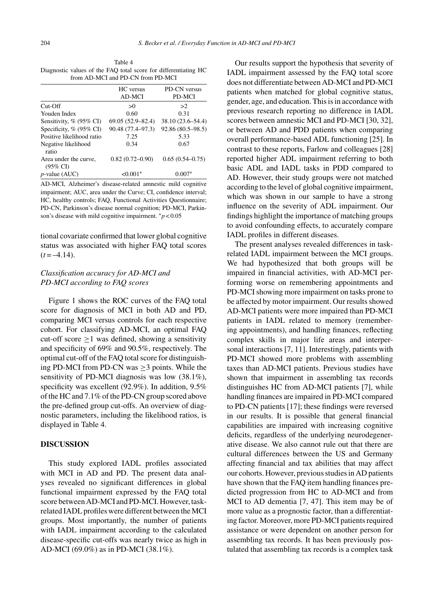Table 4 Diagnostic values of the FAQ total score for differentiating HC from AD-MCI and PD-CN from PD-MCI

|                                              | HC versus            | <b>PD-CN</b> versus |
|----------------------------------------------|----------------------|---------------------|
|                                              | AD-MCI               | PD-MCI              |
| $Cut$ -Off                                   | >0                   | >2                  |
| Youden Index                                 | 0.60                 | 0.31                |
| Sensitivity, % (95% CI)                      | $69.05(52.9 - 82.4)$ | 38.10 (23.6–54.4)   |
| Specificity, % (95% CI)                      | 90.48 (77.4-97.3)    | 92.86 (80.5-98.5)   |
| Positive likelihood ratio                    | 7.25                 | 5.33                |
| Negative likelihood<br>ratio                 | 0.34                 | 0.67                |
| Area under the curve,<br>$(95\% \text{ CI})$ | $0.82(0.72 - 0.90)$  | $0.65(0.54 - 0.75)$ |
| $p$ -value (AUC)                             | ${<}0.001*$          | $0.007*$            |

AD-MCI, Alzheimer's disease-related amnestic mild cognitive impairment; AUC, area under the Curve; CI, confidence interval; HC, healthy controls; FAQ, Functional Activities Questionnaire; PD-CN, Parkinson's disease normal cognition; PD-MCI, Parkinson's disease with mild cognitive impairment. ∗*p* < 0.05

tional covariate confirmed that lower global cognitive status was associated with higher FAQ total scores  $(t = -4.14)$ .

# *Classification accuracy for AD-MCI and PD-MCI according to FAQ scores*

Figure 1 shows the ROC curves of the FAQ total score for diagnosis of MCI in both AD and PD, comparing MCI versus controls for each respective cohort. For classifying AD-MCI, an optimal FAQ cut-off score  $>1$  was defined, showing a sensitivity and specificity of 69% and 90.5%, respectively. The optimal cut-off of the FAQ total score for distinguishing PD-MCI from PD-CN was  $\geq$ 3 points. While the sensitivity of PD-MCI diagnosis was low (38.1%), specificity was excellent (92.9%). In addition, 9.5% of the HC and 7.1% of the PD-CN group scored above the pre-defined group cut-offs. An overview of diagnostic parameters, including the likelihood ratios, is displayed in Table 4.

# **DISCUSSION**

This study explored IADL profiles associated with MCI in AD and PD. The present data analyses revealed no significant differences in global functional impairment expressed by the FAQ total score between AD-MCI and PD-MCI. However, taskrelated IADL profiles were different between the MCI groups. Most importantly, the number of patients with IADL impairment according to the calculated disease-specific cut-offs was nearly twice as high in AD-MCI (69.0%) as in PD-MCI (38.1%).

Our results support the hypothesis that severity of IADL impairment assessed by the FAQ total score does not differentiate between AD-MCI and PD-MCI patients when matched for global cognitive status, gender, age, and education. This is in accordance with previous research reporting no difference in IADL scores between amnestic MCI and PD-MCI [30, 32], or between AD and PDD patients when comparing overall performance-based ADL functioning [25]. In contrast to these reports, Farlow and colleagues [28] reported higher ADL impairment referring to both basic ADL and IADL tasks in PDD compared to AD. However, their study groups were not matched according to the level of global cognitive impairment, which was shown in our sample to have a strong influence on the severity of ADL impairment. Our findings highlight the importance of matching groups to avoid confounding effects, to accurately compare IADL profiles in different diseases.

The present analyses revealed differences in taskrelated IADL impairment between the MCI groups. We had hypothesized that both groups will be impaired in financial activities, with AD-MCI performing worse on remembering appointments and PD-MCI showing more impairment on tasks prone to be affected by motor impairment. Our results showed AD-MCI patients were more impaired than PD-MCI patients in IADL related to memory (remembering appointments), and handling finances, reflecting complex skills in major life areas and interpersonal interactions [7, 11]. Interestingly, patients with PD-MCI showed more problems with assembling taxes than AD-MCI patients. Previous studies have shown that impairment in assembling tax records distinguishes HC from AD-MCI patients [7], while handling finances are impaired in PD-MCI compared to PD-CN patients [17]; these findings were reversed in our results. It is possible that general financial capabilities are impaired with increasing cognitive deficits, regardless of the underlying neurodegenerative disease. We also cannot rule out that there are cultural differences between the US and Germany affecting financial and tax abilities that may affect our cohorts. However, previous studies in AD patients have shown that the FAQ item handling finances predicted progression from HC to AD-MCI and from MCI to AD dementia [7, 47]. This item may be of more value as a prognostic factor, than a differentiating factor. Moreover, more PD-MCI patients required assistance or were dependent on another person for assembling tax records. It has been previously postulated that assembling tax records is a complex task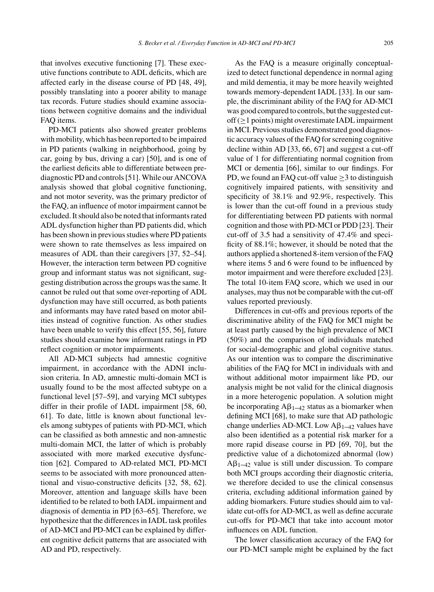that involves executive functioning [7]. These executive functions contribute to ADL deficits, which are affected early in the disease course of PD [48, 49], possibly translating into a poorer ability to manage tax records. Future studies should examine associations between cognitive domains and the individual FAQ items.

PD-MCI patients also showed greater problems with mobility, which has been reported to be impaired in PD patients (walking in neighborhood, going by car, going by bus, driving a car) [50], and is one of the earliest deficits able to differentiate between prediagnostic PD and controls [51]. While our ANCOVA analysis showed that global cognitive functioning, and not motor severity, was the primary predictor of the FAQ, an influence of motor impairment cannot be excluded. It should also be noted that informants rated ADL dysfunction higher than PD patients did, which has been shown in previous studies where PD patients were shown to rate themselves as less impaired on measures of ADL than their caregivers [37, 52–54]. However, the interaction term between PD cognitive group and informant status was not significant, suggesting distribution across the groups was the same. It cannot be ruled out that some over-reporting of ADL dysfunction may have still occurred, as both patients and informants may have rated based on motor abilities instead of cognitive function. As other studies have been unable to verify this effect [55, 56], future studies should examine how informant ratings in PD reflect cognition or motor impairments.

All AD-MCI subjects had amnestic cognitive impairment, in accordance with the ADNI inclusion criteria. In AD, amnestic multi-domain MCI is usually found to be the most affected subtype on a functional level [57–59], and varying MCI subtypes differ in their profile of IADL impairment [58, 60, 61]. To date, little is known about functional levels among subtypes of patients with PD-MCI, which can be classified as both amnestic and non-amnestic multi-domain MCI, the latter of which is probably associated with more marked executive dysfunction [62]. Compared to AD-related MCI, PD-MCI seems to be associated with more pronounced attentional and visuo-constructive deficits [32, 58, 62]. Moreover, attention and language skills have been identified to be related to both IADL impairment and diagnosis of dementia in PD [63–65]. Therefore, we hypothesize that the differences in IADL task profiles of AD-MCI and PD-MCI can be explained by different cognitive deficit patterns that are associated with AD and PD, respectively.

As the FAQ is a measure originally conceptualized to detect functional dependence in normal aging and mild dementia, it may be more heavily weighted towards memory-dependent IADL [33]. In our sample, the discriminant ability of the FAQ for AD-MCI was good compared to controls, but the suggested cutoff ( $\geq$ 1 points) might overestimate IADL impairment in MCI. Previous studies demonstrated good diagnostic accuracy values of the FAQ for screening cognitive decline within AD [33, 66, 67] and suggest a cut-off value of 1 for differentiating normal cognition from MCI or dementia [66], similar to our findings. For PD, we found an FAQ cut-off value  $>3$  to distinguish cognitively impaired patients, with sensitivity and specificity of 38.1% and 92.9%, respectively. This is lower than the cut-off found in a previous study for differentiating between PD patients with normal cognition and those with PD-MCI or PDD [23]. Their cut-off of 3.5 had a sensitivity of 47.4% and specificity of 88.1%; however, it should be noted that the authors applied a shortened 8-item version of the FAQ where items 5 and 6 were found to be influenced by motor impairment and were therefore excluded [23]. The total 10-item FAQ score, which we used in our analyses, may thus not be comparable with the cut-off values reported previously.

Differences in cut-offs and previous reports of the discriminative ability of the FAQ for MCI might be at least partly caused by the high prevalence of MCI (50%) and the comparison of individuals matched for social-demographic and global cognitive status. As our intention was to compare the discriminative abilities of the FAQ for MCI in individuals with and without additional motor impairment like PD, our analysis might be not valid for the clinical diagnosis in a more heterogenic population. A solution might be incorporating  $A\beta_{1-42}$  status as a biomarker when defining MCI [68], to make sure that AD pathologic change underlies AD-MCI. Low  $A\beta_{1-42}$  values have also been identified as a potential risk marker for a more rapid disease course in PD [69, 70], but the predictive value of a dichotomized abnormal (low)  $A\beta_{1-42}$  value is still under discussion. To compare both MCI groups according their diagnostic criteria, we therefore decided to use the clinical consensus criteria, excluding additional information gained by adding biomarkers. Future studies should aim to validate cut-offs for AD-MCI, as well as define accurate cut-offs for PD-MCI that take into account motor influences on ADL function.

The lower classification accuracy of the FAQ for our PD-MCI sample might be explained by the fact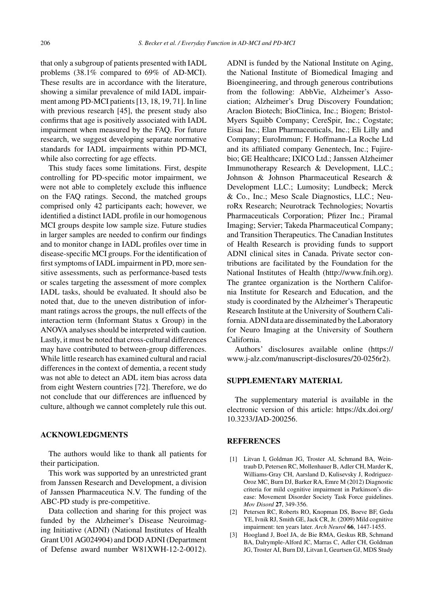that only a subgroup of patients presented with IADL problems (38.1% compared to 69% of AD-MCI). These results are in accordance with the literature, showing a similar prevalence of mild IADL impairment among PD-MCI patients [13, 18, 19, 71]. In line with previous research [45], the present study also confirms that age is positively associated with IADL impairment when measured by the FAQ. For future research, we suggest developing separate normative standards for IADL impairments within PD-MCI, while also correcting for age effects.

This study faces some limitations. First, despite controlling for PD-specific motor impairment, we were not able to completely exclude this influence on the FAQ ratings. Second, the matched groups comprised only 42 participants each; however, we identified a distinct IADL profile in our homogenous MCI groups despite low sample size. Future studies in larger samples are needed to confirm our findings and to monitor change in IADL profiles over time in disease-specific MCI groups. For the identification of first symptoms of IADL impairment in PD, more sensitive assessments, such as performance-based tests or scales targeting the assessment of more complex IADL tasks, should be evaluated. It should also be noted that, due to the uneven distribution of informant ratings across the groups, the null effects of the interaction term (Informant Status x Group) in the ANOVA analyses should be interpreted with caution. Lastly, it must be noted that cross-cultural differences may have contributed to between-group differences. While little research has examined cultural and racial differences in the context of dementia, a recent study was not able to detect an ADL item bias across data from eight Western countries [72]. Therefore, we do not conclude that our differences are influenced by culture, although we cannot completely rule this out.

# **ACKNOWLEDGMENTS**

The authors would like to thank all patients for their participation.

This work was supported by an unrestricted grant from Janssen Research and Development, a division of Janssen Pharmaceutica N.V. The funding of the ABC-PD study is pre-competitive.

Data collection and sharing for this project was funded by the Alzheimer's Disease Neuroimaging Initiative (ADNI) (National Institutes of Health Grant U01 AG024904) and DOD ADNI (Department of Defense award number W81XWH-12-2-0012).

ADNI is funded by the National Institute on Aging, the National Institute of Biomedical Imaging and Bioengineering, and through generous contributions from the following: AbbVie, Alzheimer's Association; Alzheimer's Drug Discovery Foundation; Araclon Biotech; BioClinica, Inc.; Biogen; Bristol-Myers Squibb Company; CereSpir, Inc.; Cogstate; Eisai Inc.; Elan Pharmaceuticals, Inc.; Eli Lilly and Company; EuroImmun; F. Hoffmann-La Roche Ltd and its affiliated company Genentech, Inc.; Fujirebio; GE Healthcare; IXICO Ltd.; Janssen Alzheimer Immunotherapy Research & Development, LLC.; Johnson & Johnson Pharmaceutical Research & Development LLC.; Lumosity; Lundbeck; Merck & Co., Inc.; Meso Scale Diagnostics, LLC.; NeuroRx Research; Neurotrack Technologies; Novartis Pharmaceuticals Corporation; Pfizer Inc.; Piramal Imaging; Servier; Takeda Pharmaceutical Company; and Transition Therapeutics. The Canadian Institutes of Health Research is providing funds to support ADNI clinical sites in Canada. Private sector contributions are facilitated by the Foundation for the National Institutes of Health [\(http://www.fnih.org](http://www.fnih.org)). The grantee organization is the Northern California Institute for Research and Education, and the study is coordinated by the Alzheimer's Therapeutic Research Institute at the University of Southern California. ADNI data are disseminated by the Laboratory for Neuro Imaging at the University of Southern California.

Authors' disclosures available online [\(https://](https://www.j-alz.com/manuscript-disclosures/20-0256r2) www.j-alz.com/manuscript-disclosures/20-0256r2).

# **SUPPLEMENTARY MATERIAL**

The supplementary material is available in the electronic version of this article: [https://dx.doi.org/](https://dx.doi.org/10.3233/JAD-200256) 10.3233/JAD-200256.

# **REFERENCES**

- [1] Litvan I, Goldman JG, Troster AI, Schmand BA, Weintraub D, Petersen RC, Mollenhauer B, Adler CH, Marder K, Williams-Gray CH, Aarsland D, Kulisevsky J, Rodriguez-Oroz MC, Burn DJ, Barker RA, Emre M (2012) Diagnostic criteria for mild cognitive impairment in Parkinson's disease: Movement Disorder Society Task Force guidelines. *Mov Disord* **27**, 349-356.
- [2] Petersen RC, Roberts RO, Knopman DS, Boeve BF, Geda YE, Ivnik RJ, Smith GE, Jack CR, Jr. (2009) Mild cognitive impairment: ten years later. *Arch Neurol* **66**, 1447-1455.
- [3] Hoogland J, Boel JA, de Bie RMA, Geskus RB, Schmand BA, Dalrymple-Alford JC, Marras C, Adler CH, Goldman JG, Troster AI, Burn DJ, Litvan I, Geurtsen GJ, MDS Study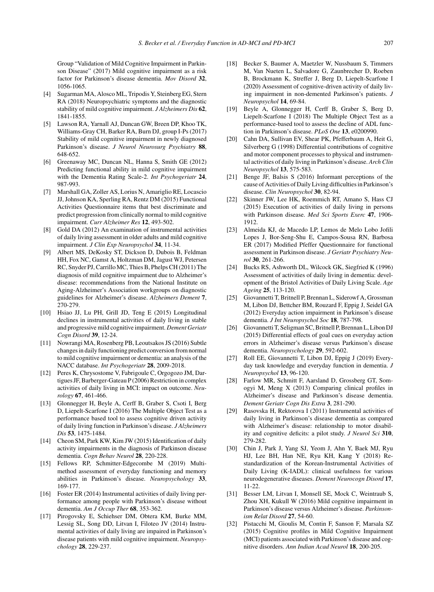Group "Validation of Mild Cognitive Impairment in Parkinson Disease" (2017) Mild cognitive impairment as a risk factor for Parkinson's disease dementia. *Mov Disord* **32**, 1056-1065.

- [4] Sugarman MA, Alosco ML, Tripodis Y, Steinberg EG, Stern RA (2018) Neuropsychiatric symptoms and the diagnostic stability of mild cognitive impairment. *J Alzheimers Dis* **62**, 1841-1855.
- [5] Lawson RA, Yarnall AJ, Duncan GW, Breen DP, Khoo TK, Williams-Gray CH, Barker RA, Burn DJ, group I-Ps (2017) Stability of mild cognitive impairment in newly diagnosed Parkinson's disease. *J Neurol Neurosurg Psychiatry* **88**, 648-652.
- [6] Greenaway MC, Duncan NL, Hanna S, Smith GE (2012) Predicting functional ability in mild cognitive impairment with the Dementia Rating Scale-2. *Int Psychogeriatr* **24**, 987-993.
- [7] Marshall GA, Zoller AS, Lorius N, Amariglio RE, Locascio JJ, Johnson KA, Sperling RA, Rentz DM (2015) Functional Activities Questionnaire items that best discriminate and predict progression from clinically normal to mild cognitive impairment. *Curr Alzheimer Res* **12**, 493-502.
- [8] Gold DA (2012) An examination of instrumental activities of daily living assessment in older adults and mild cognitive impairment. *J Clin Exp Neuropsychol* **34**, 11-34.
- [9] Albert MS, DeKosky ST, Dickson D, Dubois B, Feldman HH, Fox NC, Gamst A, Holtzman DM, Jagust WJ, Petersen RC, Snyder PJ, Carrillo MC, Thies B, Phelps CH (2011) The diagnosis of mild cognitive impairment due to Alzheimer's disease: recommendations from the National Institute on Aging-Alzheimer's Association workgroups on diagnostic guidelines for Alzheimer's disease. *Alzheimers Dement* **7**, 270-279.
- [10] Hsiao JJ, Lu PH, Grill JD, Teng E (2015) Longitudinal declines in instrumental activities of daily living in stable and progressive mild cognitive impairment. *Dement Geriatr Cogn Disord* **39**, 12-24.
- [11] Nowrangi MA, Rosenberg PB, Leoutsakos JS (2016) Subtle changes in daily functioning predict conversion from normal to mild cognitive impairment or dementia: an analysis of the NACC database. *Int Psychogeriatr* **28**, 2009-2018.
- [12] Peres K, Chrysostome V, Fabrigoule C, Orgogozo JM, Dartigues JF, Barberger-Gateau P (2006) Restriction in complex activities of daily living in MCI: impact on outcome. *Neurology* **67**, 461-466.
- [13] Glonnegger H, Beyle A, Cerff B, Graber S, Csoti I, Berg D, Liepelt-Scarfone I (2016) The Multiple Object Test as a performance based tool to assess cognitive driven activity of daily living function in Parkinson's disease. *J Alzheimers Dis* **53**, 1475-1484.
- [14] Cheon SM, Park KW, Kim JW (2015) Identification of daily activity impairments in the diagnosis of Parkinson disease dementia. *Cogn Behav Neurol* **28**, 220-228.
- [15] Fellows RP, Schmitter-Edgecombe M (2019) Multimethod assessment of everyday functioning and memory abilities in Parkinson's disease. *Neuropsychology* **33**, 169-177.
- [16] Foster ER (2014) Instrumental activities of daily living performance among people with Parkinson's disease without dementia. *Am J Occup Ther* **68**, 353-362.
- [17] Pirogovsky E, Schiehser DM, Obtera KM, Burke MM, Lessig SL, Song DD, Litvan I, Filoteo JV (2014) Instrumental activities of daily living are impaired in Parkinson's disease patients with mild cognitive impairment. *Neuropsychology* **28**, 229-237.
- [18] Becker S, Baumer A, Maetzler W, Nussbaum S, Timmers M, Van Nueten L, Salvadore G, Zaunbrecher D, Roeben B, Brockmann K, Streffer J, Berg D, Liepelt-Scarfone I (2020) Assessment of cognitive-driven activity of daily living impairment in non-demented Parkinson's patients. *J Neuropsychol* **14**, 69-84.
- [19] Beyle A, Glonnegger H, Cerff B, Graber S, Berg D, Liepelt-Scarfone I (2018) The Multiple Object Test as a performance-based tool to assess the decline of ADL function in Parkinson's disease. *PLoS One* **13**, e0200990.
- [20] Cahn DA, Sullivan EV, Shear PK, Pfefferbaum A, Heit G, Silverberg G (1998) Differential contributions of cognitive and motor component processes to physical and instrumental activities of daily living in Parkinson's disease. *Arch Clin Neuropsychol* **13**, 575-583.
- [21] Benge JF, Balsis S (2016) Informant perceptions of the cause of Activities of Daily Living difficulties in Parkinson's disease. *Clin Neuropsychol* **30**, 82-94.
- [22] Skinner JW, Lee HK, Roemmich RT, Amano S, Hass CJ (2015) Execution of activities of daily living in persons with Parkinson disease. *Med Sci Sports Exerc* **47**, 1906- 1912.
- [23] Almeida KJ, de Macedo LP, Lemos de Melo Lobo Jofili Lopes J, Bor-Seng-Shu E, Campos-Sousa RN, Barbosa ER (2017) Modified Pfeffer Questionnaire for functional assessment in Parkinson disease. *J Geriatr Psychiatry Neurol* **30**, 261-266.
- [24] Bucks RS, Ashworth DL, Wilcock GK, Siegfried K (1996) Assessment of activities of daily living in dementia: development of the Bristol Activities of Daily Living Scale. *Age Ageing* **25**, 113-120.
- [25] Giovannetti T, Britnell P, Brennan L, Siderowf A, Grossman M, Libon DJ, Bettcher BM, Rouzard F, Eppig J, Seidel GA (2012) Everyday action impairment in Parkinson's disease dementia. *J Int Neuropsychol Soc* **18**, 787-798.
- [26] Giovannetti T, Seligman SC, Britnell P, Brennan L, Libon DJ (2015) Differential effects of goal cues on everyday action errors in Alzheimer's disease versus Parkinson's disease dementia. *Neuropsychology* **29**, 592-602.
- [27] Roll EE, Giovannetti T, Libon DJ, Eppig J (2019) Everyday task knowledge and everyday function in dementia. *J Neuropsychol* **13**, 96-120.
- [28] Farlow MR, Schmitt F, Aarsland D, Grossberg GT, Somogyi M, Meng X (2013) Comparing clinical profiles in Alzheimer's disease and Parkinson's disease dementia. *Dement Geriatr Cogn Dis Extra* **3**, 281-290.
- [29] Rasovska H, Rektorova I (2011) Instrumental activities of daily living in Parkinson's disease dementia as compared with Alzheimer's disease: relationship to motor disability and cognitive deficits: a pilot study. *J Neurol Sci* **310**, 279-282.
- [30] Chin J, Park J, Yang SJ, Yeom J, Ahn Y, Baek MJ, Ryu HJ, Lee BH, Han NE, Ryu KH, Kang Y (2018) Restandardization of the Korean-Instrumental Activities of Daily Living (K-IADL): clinical usefulness for various neurodegenerative diseases. *Dement Neurocogn Disord* **17**, 11-22.
- [31] Besser LM, Litvan I, Monsell SE, Mock C, Weintraub S, Zhou XH, Kukull W (2016) Mild cognitive impairment in Parkinson's disease versus Alzheimer's disease. *Parkinsonism Relat Disord* **27**, 54-60.
- [32] Pistacchi M, Gioulis M, Contin F, Sanson F, Marsala SZ (2015) Cognitive profiles in Mild Cognitive Impairment (MCI) patients associated with Parkinson's disease and cognitive disorders. *Ann Indian Acad Neurol* **18**, 200-205.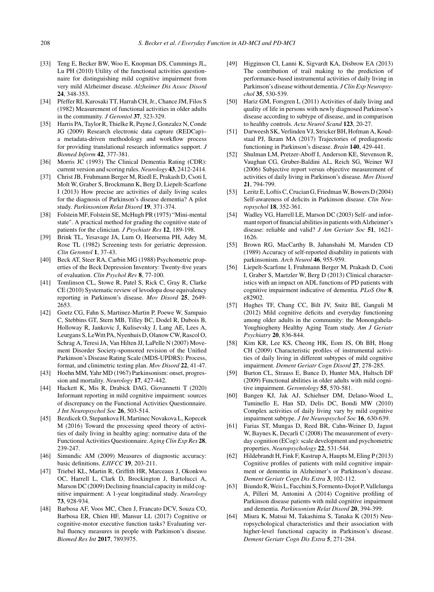- [33] Teng E, Becker BW, Woo E, Knopman DS, Cummings JL, Lu PH (2010) Utility of the functional activities questionnaire for distinguishing mild cognitive impairment from very mild Alzheimer disease. *Alzheimer Dis Assoc Disord* **24**, 348-353.
- [34] Pfeffer RI, Kurosaki TT, Harrah CH, Jr., Chance JM, Filos S (1982) Measurement of functional activities in older adults in the community. *J Gerontol* **37**, 323-329.
- [35] Harris PA, Taylor R, Thielke R, Payne J, Gonzalez N, Conde JG (2009) Research electronic data capture (REDCap)– a metadata-driven methodology and workflow process for providing translational research informatics support. *J Biomed Inform* **42**, 377-381.
- [36] Morris JC (1993) The Clinical Dementia Rating (CDR): current version and scoring rules.*Neurology* **43**, 2412-2414.
- [37] Christ JB, Fruhmann Berger M, Riedl E, Prakash D, Csoti I, Molt W, Graber S, Brockmann K, Berg D, Liepelt-Scarfone I (2013) How precise are activities of daily living scales for the diagnosis of Parkinson's disease dementia? A pilot study. *Parkinsonism Relat Disord* **19**, 371-374.
- [38] Folstein MF, Folstein SE, McHugh PR (1975) "Mini-mental state". A practical method for grading the cognitive state of patients for the clinician. *J Psychiatr Res* **12**, 189-198.
- [39] Brink TL, Yesavage JA, Lum O, Heersema PH, Adey M, Rose TL (1982) Screening tests for geriatric depression. *Clin Gerontol* **1**, 37-43.
- [40] Beck AT, Steer RA, Carbin MG (1988) Psychometric properties of the Beck Depression Inventory: Twenty-five years of evaluation. *Clin Psychol Rev* **8**, 77-100.
- [41] Tomlinson CL, Stowe R, Patel S, Rick C, Gray R, Clarke CE (2010) Systematic review of levodopa dose equivalency reporting in Parkinson's disease. *Mov Disord* **25**, 2649- 2653.
- [42] Goetz CG, Fahn S, Martinez-Martin P, Poewe W, Sampaio C, Stebbins GT, Stern MB, Tilley BC, Dodel R, Dubois B, Holloway R, Jankovic J, Kulisevsky J, Lang AE, Lees A, Leurgans S, LeWitt PA, Nyenhuis D, Olanow CW, Rascol O, Schrag A, Teresi JA, Van Hilten JJ, LaPelle N (2007) Movement Disorder Society-sponsored revision of the Unified Parkinson's Disease Rating Scale (MDS-UPDRS): Process, format, and clinimetric testing plan. *Mov Disord* **22**, 41-47.
- [43] Hoehn MM, Yahr MD (1967) Parkinsonism: onset, progression and mortality. *Neurology* **17**, 427-442.
- [44] Hackett K, Mis R, Drabick DAG, Giovannetti T (2020) Informant reporting in mild cognitive impairment: sources of discrepancy on the Functional Activities Questionnaire. *J Int Neuropsychol Soc* **26**, 503-514.
- [45] Bezdicek O, Stepankova H, Martinec Novakova L, Kopecek M (2016) Toward the processing speed theory of activities of daily living in healthy aging: normative data of the Functional Activities Questionnaire. *Aging Clin Exp Res* **28**, 239-247.
- [46] Simundic AM (2009) Measures of diagnostic accuracy: basic definitions. *EJIFCC* **19**, 203-211.
- [47] Triebel KL, Martin R, Griffith HR, Marceaux J, Okonkwo OC, Harrell L, Clark D, Brockington J, Bartolucci A, Marson DC (2009) Declining financial capacity in mild cognitive impairment: A 1-year longitudinal study. *Neurology* **73**, 928-934.
- [48] Barbosa AF, Voos MC, Chen J, Francato DCV, Souza CO, Barbosa ER, Chien HF, Mansur LL (2017) Cognitive or cognitive-motor executive function tasks? Evaluating verbal fluency measures in people with Parkinson's disease. *Biomed Res Int* **2017**, 7893975.
- [49] Higginson CI, Lanni K, Sigvardt KA, Disbrow EA (2013) The contribution of trail making to the prediction of performance-based instrumental activities of daily living in Parkinson's disease without dementia. *J Clin Exp Neuropsychol* **35**, 530-539.
- [50] Hariz GM, Forsgren L (2011) Activities of daily living and quality of life in persons with newly diagnosed Parkinson's disease according to subtype of disease, and in comparison to healthy controls. *Acta Neurol Scand* **123**, 20-27.
- [51] Darweesh SK, Verlinden VJ, Stricker BH, Hofman A, Koudstaal PJ, Ikram MA (2017) Trajectories of prediagnostic functioning in Parkinson's disease. *Brain* **140**, 429-441.
- [52] Shulman LM, Pretzer-Aboff I, Anderson KE, Stevenson R, Vaughan CG, Gruber-Baldini AL, Reich SG, Weiner WJ (2006) Subjective report versus objective measurement of activities of daily living in Parkinson's disease. *Mov Disord* **21**, 794-799.
- [53] Leritz E, Loftis C, Crucian G, Friedman W, Bowers D (2004) Self-awareness of deficits in Parkinson disease. *Clin Neuropsychol* **18**, 352-361.
- [54] Wadley VG, Harrell LE, Marson DC (2003) Self- and informant report of financial abilities in patients with Alzheimer's disease: reliable and valid? *J Am Geriatr Soc* **51**, 1621- 1626.
- [55] Brown RG, MacCarthy B, Jahanshahi M, Marsden CD (1989) Accuracy of self-reported disability in patients with parkinsonism. *Arch Neurol* **46**, 955-959.
- [56] Liepelt-Scarfone I, Fruhmann Berger M, Prakash D, Csoti I, Graber S, Maetzler W, Berg D (2013) Clinical characteristics with an impact on ADL functions of PD patients with cognitive impairment indicative of dementia. *PLoS One* **8**, e82902.
- [57] Hughes TF, Chang CC, Bilt JV, Snitz BE, Ganguli M (2012) Mild cognitive deficits and everyday functioning among older adults in the community: the Monongahela-Youghiogheny Healthy Aging Team study. *Am J Geriatr Psychiatry* **20**, 836-844.
- [58] Kim KR, Lee KS, Cheong HK, Eom JS, Oh BH, Hong CH (2009) Characteristic profiles of instrumental activities of daily living in different subtypes of mild cognitive impairment. *Dement Geriatr Cogn Disord* **27**, 278-285.
- [59] Burton CL, Strauss E, Bunce D, Hunter MA, Hultsch DF (2009) Functional abilities in older adults with mild cognitive impairment. *Gerontology* **55**, 570-581.
- [60] Bangen KJ, Jak AJ, Schiehser DM, Delano-Wood L, Tuminello E, Han SD, Delis DC, Bondi MW (2010) Complex activities of daily living vary by mild cognitive impairment subtype. *J Int Neuropsychol Soc* **16**, 630-639.
- [61] Farias ST, Mungas D, Reed BR, Cahn-Weiner D, Jagust W, Baynes K, Decarli C (2008) The measurement of everyday cognition (ECog): scale development and psychometric properties. *Neuropsychology* **22**, 531-544.
- [62] Hildebrandt H, Fink F, Kastrup A, Haupts M, Eling P (2013) Cognitive profiles of patients with mild cognitive impairment or dementia in Alzheimer's or Parkinson's disease. *Dement Geriatr Cogn Dis Extra* **3**, 102-112.
- [63] Biundo R, Weis L, Facchini S, Formento-Dojot P, Vallelunga A, Pilleri M, Antonini A (2014) Cognitive profiling of Parkinson disease patients with mild cognitive impairment and dementia. *Parkinsonism Relat Disord* **20**, 394-399.
- [64] Miura K, Matsui M, Takashima S, Tanaka K (2015) Neuropsychological characteristics and their association with higher-level functional capacity in Parkinson's disease. *Dement Geriatr Cogn Dis Extra* **5**, 271-284.